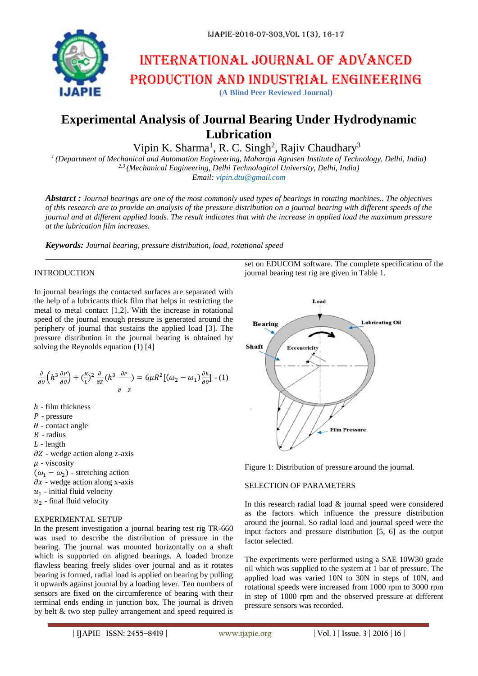

# International journal of advanced production and industrial engineering

**(A Blind Peer Reviewed Journal)**

# **Experimental Analysis of Journal Bearing Under Hydrodynamic Lubrication**

Vipin K. Sharma<sup>1</sup>, R. C. Singh<sup>2</sup>, Rajiv Chaudhary<sup>3</sup>

*1 (Department of Mechanical and Automation Engineering, Maharaja Agrasen Institute of Technology, Delhi, India) 2,3 (Mechanical Engineering, Delhi Technological University, Delhi, India) Email: [vipin.dtu@gmail.com](mailto:vipin.dtu@gmail.com)*

*Abstarct : Journal bearings are one of the most commonly used types of bearings in rotating machines.. The objectives of this research are to provide an analysis of the pressure distribution on a journal bearing with different speeds of the journal and at different applied loads. The result indicates that with the increase in applied load the maximum pressure at the lubrication film increases.*

*Keywords: Journal bearing, pressure distribution, load, rotational speed*

# INTRODUCTION

In journal bearings the contacted surfaces are separated with the help of a lubricants thick film that helps in restricting the metal to metal contact [1,2]. With the increase in rotational speed of the journal enough pressure is generated around the periphery of journal that sustains the applied load [3]. The pressure distribution in the journal bearing is obtained by solving the Reynolds equation (1) [4]

$$
\frac{\partial}{\partial \theta} \left( h^3 \frac{\partial P}{\partial \theta} \right) + \left( \frac{R}{L} \right)^2 \frac{\partial}{\partial z} \left( h^3 \frac{\partial P}{\partial z} \right) = 6\mu R^2 \left[ \left( \omega_2 - \omega_1 \right) \frac{\partial h}{\partial \theta} \right] \cdot (1)
$$

- $h$  film thickness
- $P$  pressure
- $\theta$  contact angle
- $R$  radius
- $L$  length
- $\partial Z$  wedge action along z-axis
- $\mu$  viscosity
- $(\omega_1 \omega_2)$  stretching action
- $\partial x$  wedge action along x-axis
- $u_1$  initial fluid velocity
- $u_2$  final fluid velocity

#### EXPERIMENTAL SETUP

In the present investigation a journal bearing test rig TR-660 was used to describe the distribution of pressure in the bearing. The journal was mounted horizontally on a shaft which is supported on aligned bearings. A loaded bronze flawless bearing freely slides over journal and as it rotates bearing is formed, radial load is applied on bearing by pulling it upwards against journal by a loading lever. Ten numbers of sensors are fixed on the circumference of bearing with their terminal ends ending in junction box. The journal is driven by belt & two step pulley arrangement and speed required is

Load **Lubricating Oil Bearing** Shaft Eccentricity **Film Prossure** 

journal bearing test rig are given in Table 1.

set on EDUCOM software. The complete specification of the

Figure 1: Distribution of pressure around the journal.

# SELECTION OF PARAMETERS

In this research radial load & journal speed were considered as the factors which influence the pressure distribution around the journal. So radial load and journal speed were the input factors and pressure distribution [5, 6] as the output factor selected.

The experiments were performed using a SAE 10W30 grade oil which was supplied to the system at 1 bar of pressure. The applied load was varied 10N to 30N in steps of 10N, and rotational speeds were increased from 1000 rpm to 3000 rpm in step of 1000 rpm and the observed pressure at different pressure sensors was recorded.